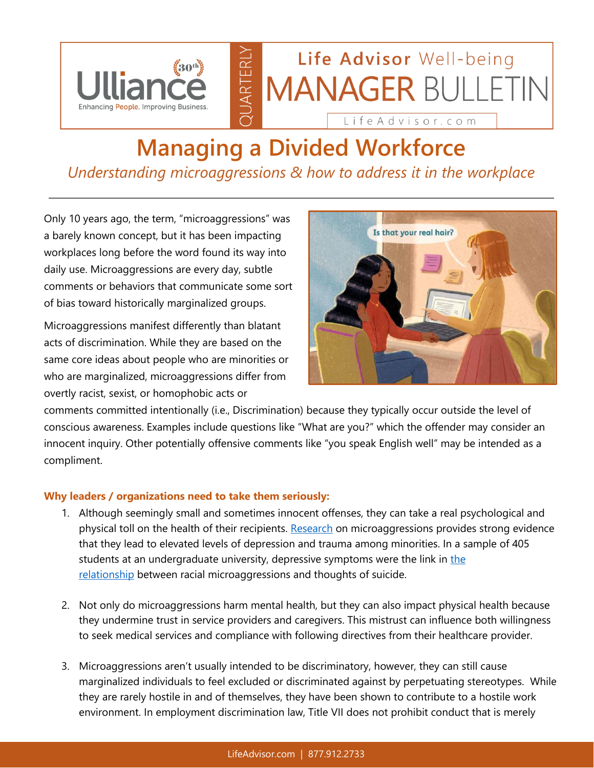

## Life Advisor Well-being **MANAGER BULLETIN**

Life Advisor.com

## **Managing a Divided Workforce** *Understanding microaggressions & how to address it in the workplace*

UARTERLY

Only 10 years ago, the term, "microaggressions" was a barely known concept, but it has been impacting workplaces long before the word found its way into daily use. Microaggressions are every day, subtle comments or behaviors that communicate some sort of bias toward historically marginalized groups.

Microaggressions manifest differently than blatant acts of discrimination. While they are based on the same core ideas about people who are minorities or who are marginalized, microaggressions differ from overtly racist, sexist, or homophobic acts or



comments committed intentionally (i.e., Discrimination) because they typically occur outside the level of conscious awareness. Examples include questions like "What are you?" which the offender may consider an innocent inquiry. Other potentially offensive comments like "you speak English well" may be intended as a compliment.

## **Why leaders / organizations need to take them seriously:**

- 1. Although seemingly small and sometimes innocent offenses, they can take a real psychological and physical toll on the health of their recipients. [Research](https://www.ncbi.nlm.nih.gov/pubmed/25867692) on microaggressions provides strong evidence that they lead to elevated levels of depression and trauma among minorities. In a sample of 405 students at an undergraduate university, depressive symptoms were [the](http://onlinelibrary.wiley.com/doi/10.1111/sltb.12150/abstract) link in the [relationship](http://onlinelibrary.wiley.com/doi/10.1111/sltb.12150/abstract) between racial microaggressions and thoughts of suicide.
- 2. Not only do microaggressions harm mental health, but they can also impact physical health because they undermine trust in service providers and caregivers. This mistrust can influence both willingness to seek medical services and compliance with following directives from their healthcare provider.
- 3. Microaggressions aren't usually intended to be discriminatory, however, they can still cause marginalized individuals to feel excluded or discriminated against by perpetuating stereotypes. While they are rarely hostile in and of themselves, they have been shown to contribute to a hostile work environment. In employment discrimination law, Title VII does not prohibit conduct that is merely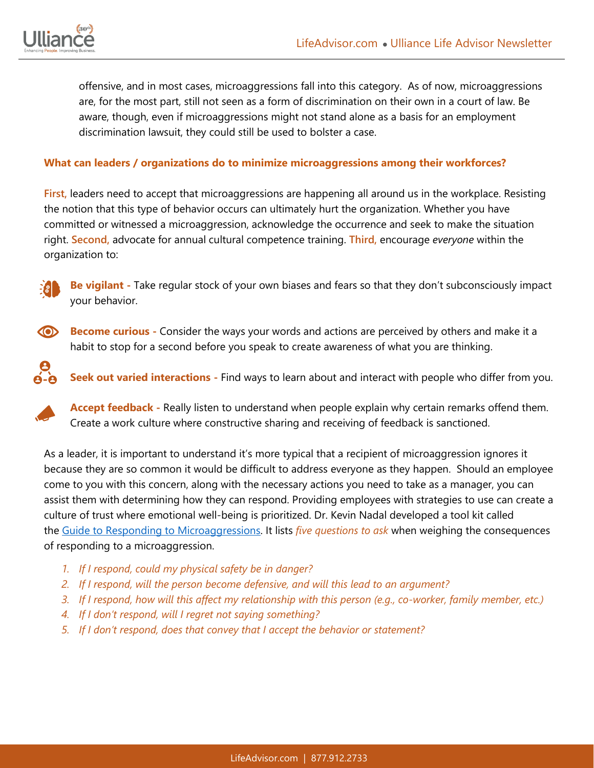

offensive, and in most cases, microaggressions fall into this category. As of now, microaggressions are, for the most part, still not seen as a form of discrimination on their own in a court of law. Be aware, though, even if microaggressions might not stand alone as a basis for an employment discrimination lawsuit, they could still be used to bolster a case.

## **What can leaders / organizations do to minimize microaggressions among their workforces?**

**First,** leaders need to accept that microaggressions are happening all around us in the workplace. Resisting the notion that this type of behavior occurs can ultimately hurt the organization. Whether you have committed or witnessed a microaggression, acknowledge the occurrence and seek to make the situation right. **Second,** advocate for annual cultural competence training. **Third,** encourage *everyone* within the organization to:



**Be vigilant -** Take regular stock of your own biases and fears so that they don't subconsciously impact your behavior.

 $\circ$ **Become curious** - Consider the ways your words and actions are perceived by others and make it a habit to stop for a second before you speak to create awareness of what you are thinking.

**Seek out varied interactions -** Find ways to learn about and interact with people who differ from you.

**Accept feedback -** Really listen to understand when people explain why certain remarks offend them. Create a work culture where constructive sharing and receiving of feedback is sanctioned.

As a leader, it is important to understand it's more typical that a recipient of microaggression ignores it because they are so common it would be difficult to address everyone as they happen. Should an employee come to you with this concern, along with the necessary actions you need to take as a manager, you can assist them with determining how they can respond. Providing employees with strategies to use can create a culture of trust where emotional well-being is prioritized. Dr. Kevin Nadal developed a tool kit called the [Guide to Responding to Microaggressions.](https://ncwwi-dms.org/resourcemenu/resource-library/inclusivity-racial-equity/cultural-responsiveness/1532-a-guide-to-responding-to-microaggressions/file) It lists *five questions to ask* when weighing the consequences of responding to a microaggression.

- *1. If I respond, could my physical safety be in danger?*
- *2. If I respond, will the person become defensive, and will this lead to an argument?*
- *3. If I respond, how will this affect my relationship with this person (e.g., co-worker, family member, etc.)*
- *4. If I don't respond, will I regret not saying something?*
- *5. If I don't respond, does that convey that I accept the behavior or statement?*